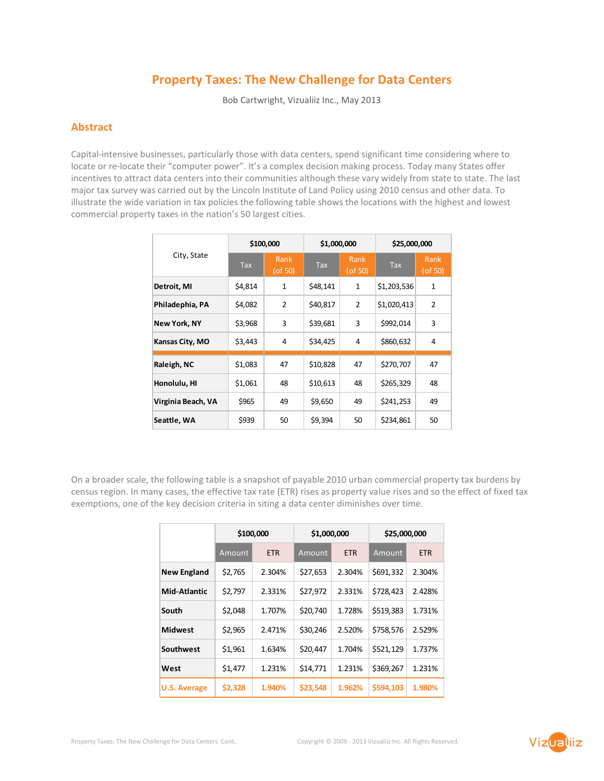# Property Taxes: The New Challenge for Data Centers

Bob Cartwright, Vizualiiz Inc., May 2013

# Abstract

Capital-intensive businesses, particularly those with data centers, spend significant time considering where to locate or re-locate their "computer power". It's a complex decision making process. Today many States offer incentives to attract data centers into their communities although these vary widely from state to state. The last major tax survey was carried out by the Lincoln Institute of Land Policy using 2010 census and other data. To illustrate the wide variation in tax policies the following table shows the locations with the highest and lowest commercial property taxes in the nation's 50 largest cities.

| City, State         | \$100,000               |                       | \$1,000,000 |                       | \$25,000,000            |                 |
|---------------------|-------------------------|-----------------------|-------------|-----------------------|-------------------------|-----------------|
|                     | $\overline{\text{Jax}}$ | Rank<br>$($ of 50 $)$ | <b>Tax</b>  | Rank<br>$($ of 50 $)$ | $\overline{\text{Jax}}$ | Rank<br>(of 50) |
| Detroit, MI         | \$4,814                 | 1                     | \$48,141    | $\mathbf{1}$          | \$1,203,536             | 1               |
| Philadephia, PA     | \$4,082                 | $\overline{2}$        | \$40,817    | $\overline{2}$        | \$1,020,413             | $\overline{2}$  |
| <b>New York, NY</b> | \$3,968                 | 3                     | \$39,681    | 3                     | \$992,014               | 3               |
| Kansas City, MO     | \$3,443                 | 4                     | \$34,425    | $\overline{4}$        | \$860,632               | 4               |
| Raleigh, NC         | \$1,083                 | 47                    | \$10,828    | 47                    | \$270,707               | 47              |
| Honolulu, HI        | \$1,061                 | 48                    | \$10,613    | 48                    | \$265,329               | 48              |
| Virginia Beach, VA  | \$965                   | 49                    | \$9,650     | 49                    | \$241,253               | 49              |
| Seattle, WA         | \$939                   | 50                    | \$9,394     | 50                    | \$234,861               | 50              |

On a broader scale, the following table is a snapshot of payable 2010 urban commercial property tax burdens by census region. In many cases, the effective tax rate (ETR) rises as property value rises and so the effect of fixed tax exemptions, one of the key decision criteria in siting a data center diminishes over time.

|                     | \$100,000 |            | \$1,000,000 |            | \$25,000,000 |            |
|---------------------|-----------|------------|-------------|------------|--------------|------------|
|                     | Amount    | <b>ETR</b> | Amount      | <b>ETR</b> | Amount       | <b>ETR</b> |
| <b>New England</b>  | \$2,765   | 2.304%     | \$27,653    | 2.304%     | \$691,332    | 2.304%     |
| Mid-Atlantic        | \$2.797   | 2.331%     | \$27,972    | 2.331%     | \$728,423    | 2.428%     |
| South               | \$2,048   | 1.707%     | \$20,740    | 1.728%     | \$519,383    | 1.731%     |
| <b>Midwest</b>      | \$2,965   | 2.471%     | \$30,246    | 2.520%     | \$758,576    | 2.529%     |
| Southwest           | \$1,961   | 1.634%     | \$20,447    | 1.704%     | \$521,129    | 1.737%     |
| West                | \$1,477   | 1.231%     | \$14.771    | 1.231%     | \$369,267    | 1.231%     |
| <b>U.S. Average</b> | \$2,328   | 1.940%     | \$23,548    | 1.962%     | \$594.103    | 1.980%     |

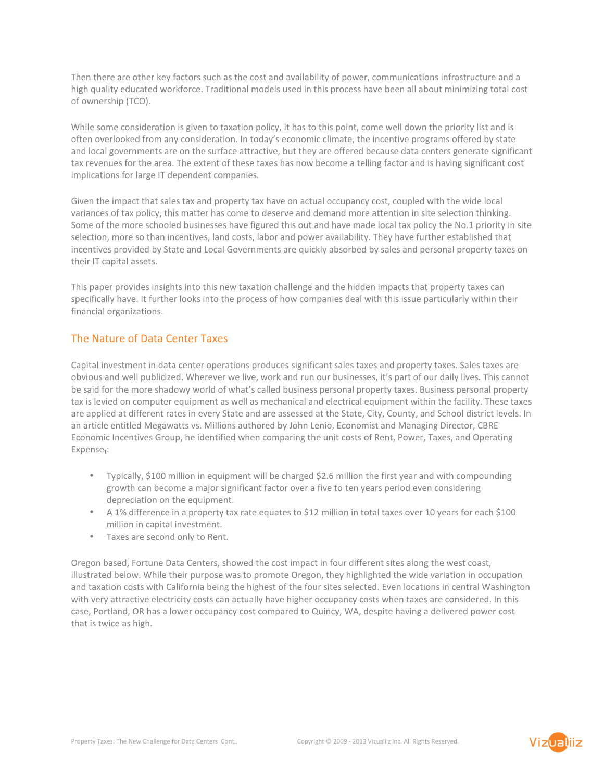Then there are other key factors such as the cost and availability of power, communications infrastructure and a high quality educated workforce. Traditional models used in this process have been all about minimizing total cost of ownership (TCO).

While some consideration is given to taxation policy, it has to this point, come well down the priority list and is often overlooked from any consideration. In today's economic climate, the incentive programs offered by state and local governments are on the surface attractive, but they are offered because data centers generate significant tax revenues for the area. The extent of these taxes has now become a telling factor and is having significant cost implications for large IT dependent companies.

Given the impact that sales tax and property tax have on actual occupancy cost, coupled with the wide local variances of tax policy, this matter has come to deserve and demand more attention in site selection thinking. Some of the more schooled businesses have figured this out and have made local tax policy the No.1 priority in site selection, more so than incentives, land costs, labor and power availability. They have further established that incentives provided by State and Local Governments are quickly absorbed by sales and personal property taxes on their IT capital assets.

This paper provides insights into this new taxation challenge and the hidden impacts that property taxes can specifically have. It further looks into the process of how companies deal with this issue particularly within their financial organizations.

# The Nature of Data Center Taxes

Capital investment in data center operations produces significant sales taxes and property taxes. Sales taxes are obvious and well publicized. Wherever we live, work and run our businesses, it's part of our daily lives. This cannot be said for the more shadowy world of what's called business personal property taxes. Business personal property tax is levied on computer equipment as well as mechanical and electrical equipment within the facility. These taxes are applied at different rates in every State and are assessed at the State, City, County, and School district levels. In an article entitled Megawatts vs. Millions authored by John Lenio, Economist and Managing Director, CBRE Economic Incentives Group, he identified when comparing the unit costs of Rent, Power, Taxes, and Operating Expense<sub>1</sub>:

- Typically, \$100 million in equipment will be charged \$2.6 million the first year and with compounding growth can become a major significant factor over a five to ten years period even considering depreciation on the equipment.
- A 1% difference in a property tax rate equates to \$12 million in total taxes over 10 years for each \$100 million in capital investment.
- Taxes are second only to Rent.

Oregon based, Fortune Data Centers, showed the cost impact in four different sites along the west coast, illustrated below. While their purpose was to promote Oregon, they highlighted the wide variation in occupation and taxation costs with California being the highest of the four sites selected. Even locations in central Washington with very attractive electricity costs can actually have higher occupancy costs when taxes are considered. In this case, Portland, OR has a lower occupancy cost compared to Quincy, WA, despite having a delivered power cost that is twice as high.

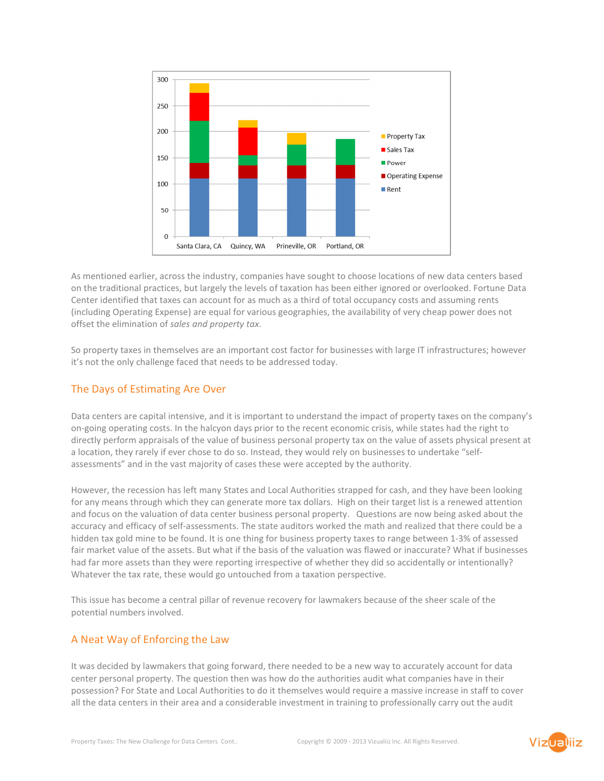

As mentioned earlier, across the industry, companies have sought to choose locations of new data centers based on the traditional practices, but largely the levels of taxation has been either ignored or overlooked. Fortune Data Center identified that taxes can account for as much as a third of total occupancy costs and assuming rents (including Operating Expense) are equal for various geographies, the availability of very cheap power does not offset the elimination of sales and property tax.

So property taxes in themselves are an important cost factor for businesses with large IT infrastructures; however it's not the only challenge faced that needs to be addressed today.

### The Days of Estimating Are Over

Data centers are capital intensive, and it is important to understand the impact of property taxes on the company's on-going operating costs. In the halcyon days prior to the recent economic crisis, while states had the right to directly perform appraisals of the value of business personal property tax on the value of assets physical present at a location, they rarely if ever chose to do so. Instead, they would rely on businesses to undertake "selfassessments" and in the vast majority of cases these were accepted by the authority.

However, the recession has left many States and Local Authorities strapped for cash, and they have been looking for any means through which they can generate more tax dollars. High on their target list is a renewed attention and focus on the valuation of data center business personal property. Questions are now being asked about the accuracy and efficacy of self-assessments. The state auditors worked the math and realized that there could be a hidden tax gold mine to be found. It is one thing for business property taxes to range between 1-3% of assessed fair market value of the assets. But what if the basis of the valuation was flawed or inaccurate? What if businesses had far more assets than they were reporting irrespective of whether they did so accidentally or intentionally? Whatever the tax rate, these would go untouched from a taxation perspective.

This issue has become a central pillar of revenue recovery for lawmakers because of the sheer scale of the potential numbers involved.

### A Neat Way of Enforcing the Law

It was decided by lawmakers that going forward, there needed to be a new way to accurately account for data center personal property. The question then was how do the authorities audit what companies have in their possession? For State and Local Authorities to do it themselves would require a massive increase in staff to cover all the data centers in their area and a considerable investment in training to professionally carry out the audit

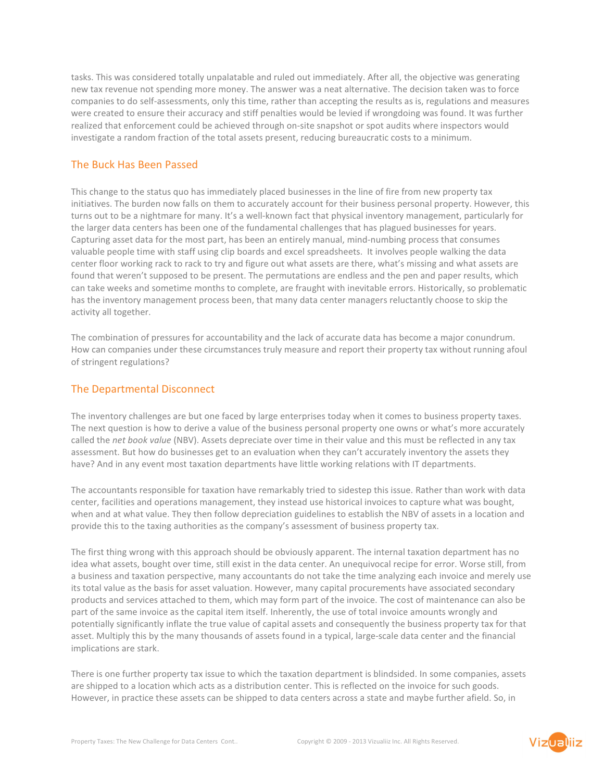tasks. This was considered totally unpalatable and ruled out immediately. After all, the objective was generating new tax revenue not spending more money. The answer was a neat alternative. The decision taken was to force companies to do self-assessments, only this time, rather than accepting the results as is, regulations and measures were created to ensure their accuracy and stiff penalties would be levied if wrongdoing was found. It was further realized that enforcement could be achieved through on-site snapshot or spot audits where inspectors would investigate a random fraction of the total assets present, reducing bureaucratic costs to a minimum.

# The Buck Has Been Passed

This change to the status quo has immediately placed businesses in the line of fire from new property tax initiatives. The burden now falls on them to accurately account for their business personal property. However, this turns out to be a nightmare for many. It's a well-known fact that physical inventory management, particularly for the larger data centers has been one of the fundamental challenges that has plagued businesses for years. Capturing asset data for the most part, has been an entirely manual, mind-numbing process that consumes valuable people time with staff using clip boards and excel spreadsheets. It involves people walking the data center floor working rack to rack to try and figure out what assets are there, what's missing and what assets are found that weren't supposed to be present. The permutations are endless and the pen and paper results, which can take weeks and sometime months to complete, are fraught with inevitable errors. Historically, so problematic has the inventory management process been, that many data center managers reluctantly choose to skip the activity all together.

The combination of pressures for accountability and the lack of accurate data has become a major conundrum. How can companies under these circumstances truly measure and report their property tax without running afoul of stringent regulations?

#### The Departmental Disconnect

The inventory challenges are but one faced by large enterprises today when it comes to business property taxes. The next question is how to derive a value of the business personal property one owns or what's more accurately called the net book value (NBV). Assets depreciate over time in their value and this must be reflected in any tax assessment. But how do businesses get to an evaluation when they can't accurately inventory the assets they have? And in any event most taxation departments have little working relations with IT departments.

The accountants responsible for taxation have remarkably tried to sidestep this issue. Rather than work with data center, facilities and operations management, they instead use historical invoices to capture what was bought, when and at what value. They then follow depreciation guidelines to establish the NBV of assets in a location and provide this to the taxing authorities as the company's assessment of business property tax.

The first thing wrong with this approach should be obviously apparent. The internal taxation department has no idea what assets, bought over time, still exist in the data center. An unequivocal recipe for error. Worse still, from a business and taxation perspective, many accountants do not take the time analyzing each invoice and merely use its total value as the basis for asset valuation. However, many capital procurements have associated secondary products and services attached to them, which may form part of the invoice. The cost of maintenance can also be part of the same invoice as the capital item itself. Inherently, the use of total invoice amounts wrongly and potentially significantly inflate the true value of capital assets and consequently the business property tax for that asset. Multiply this by the many thousands of assets found in a typical, large-scale data center and the financial implications are stark.

There is one further property tax issue to which the taxation department is blindsided. In some companies, assets are shipped to a location which acts as a distribution center. This is reflected on the invoice for such goods. However, in practice these assets can be shipped to data centers across a state and maybe further afield. So, in

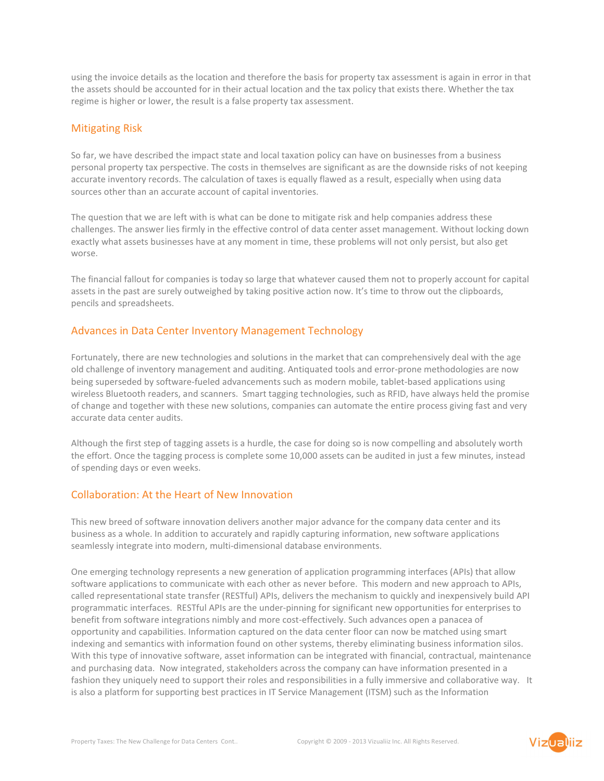using the invoice details as the location and therefore the basis for property tax assessment is again in error in that the assets should be accounted for in their actual location and the tax policy that exists there. Whether the tax regime is higher or lower, the result is a false property tax assessment.

#### Mitigating Risk

So far, we have described the impact state and local taxation policy can have on businesses from a business personal property tax perspective. The costs in themselves are significant as are the downside risks of not keeping accurate inventory records. The calculation of taxes is equally flawed as a result, especially when using data sources other than an accurate account of capital inventories.

The question that we are left with is what can be done to mitigate risk and help companies address these challenges. The answer lies firmly in the effective control of data center asset management. Without locking down exactly what assets businesses have at any moment in time, these problems will not only persist, but also get worse.

The financial fallout for companies is today so large that whatever caused them not to properly account for capital assets in the past are surely outweighed by taking positive action now. It's time to throw out the clipboards, pencils and spreadsheets.

### Advances in Data Center Inventory Management Technology

Fortunately, there are new technologies and solutions in the market that can comprehensively deal with the age old challenge of inventory management and auditing. Antiquated tools and error-prone methodologies are now being superseded by software-fueled advancements such as modern mobile, tablet-based applications using wireless Bluetooth readers, and scanners. Smart tagging technologies, such as RFID, have always held the promise of change and together with these new solutions, companies can automate the entire process giving fast and very accurate data center audits.

Although the first step of tagging assets is a hurdle, the case for doing so is now compelling and absolutely worth the effort. Once the tagging process is complete some 10,000 assets can be audited in just a few minutes, instead of spending days or even weeks.

### Collaboration: At the Heart of New Innovation

This new breed of software innovation delivers another major advance for the company data center and its business as a whole. In addition to accurately and rapidly capturing information, new software applications seamlessly integrate into modern, multi-dimensional database environments.

One emerging technology represents a new generation of application programming interfaces (APIs) that allow software applications to communicate with each other as never before. This modern and new approach to APIs, called representational state transfer (RESTful) APIs, delivers the mechanism to quickly and inexpensively build API programmatic interfaces. RESTful APIs are the under-pinning for significant new opportunities for enterprises to benefit from software integrations nimbly and more cost-effectively. Such advances open a panacea of opportunity and capabilities. Information captured on the data center floor can now be matched using smart indexing and semantics with information found on other systems, thereby eliminating business information silos. With this type of innovative software, asset information can be integrated with financial, contractual, maintenance and purchasing data. Now integrated, stakeholders across the company can have information presented in a fashion they uniquely need to support their roles and responsibilities in a fully immersive and collaborative way. It is also a platform for supporting best practices in IT Service Management (ITSM) such as the Information